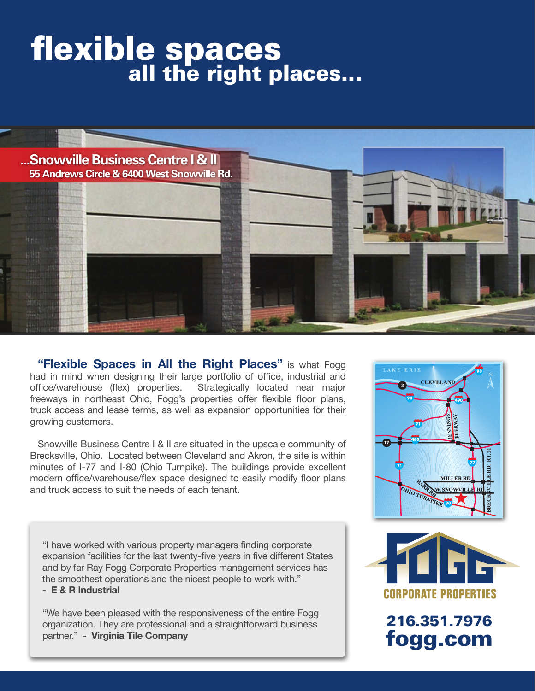# flexible spaces<br>all the right places...



**"Flexible Spaces in All the Right Places"** is what Fogg had in mind when designing their large portfolio of office, industrial and office/warehouse (flex) properties. Strategically located near major freeways in northeast Ohio, Fogg's properties offer flexible floor plans, truck access and lease terms, as well as expansion opportunities for their growing customers.

Snowville Business Centre I & II are situated in the upscale community of Brecksville, Ohio. Located between Cleveland and Akron, the site is within minutes of I-77 and I-80 (Ohio Turnpike). The buildings provide excellent modern office/warehouse/flex space designed to easily modify floor plans and truck access to suit the needs of each tenant.

"I have worked with various property managers finding corporate expansion facilities for the last twenty-five years in five different States and by far Ray Fogg Corporate Properties management services has the smoothest operations and the nicest people to work with."

**- E & R Industrial**

"We have been pleased with the responsiveness of the entire Fogg organization. They are professional and a straightforward business partner." **- Virginia Tile Company**





216.351.7976 fogg.com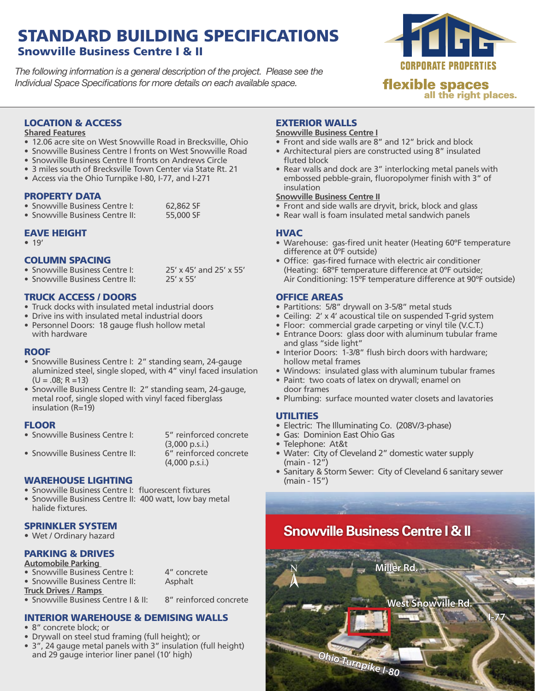## STANDARD BUILDING SPECIFICATIONS Snowville Business Centre I & II

*The following information is a general description of the project. Please see the Individual Space Specifications for more details on each available space.*



#### LOCATION & ACCESS

#### **Shared Features**

- 12.06 acre site on West Snowville Road in Brecksville, Ohio
- Snowville Business Centre I fronts on West Snowville Road
- Snowville Business Centre II fronts on Andrews Circle
- 3 miles south of Brecksville Town Center via State Rt. 21
- Access via the Ohio Turnpike I-80, I-77, and I-271

#### PROPERTY DATA

• Snowville Business Centre I: 62,862 SF<br>• Snowville Business Centre II: 55,000 SF • Snowville Business Centre II<sup>.</sup>

#### EAVE HEIGHT

 $• 19'$ 

#### COLUMN SPACING

- Snowville Business Centre I: 25' x 45' and 25' x 55'<br>• Snowville Business Centre II: 25' x 55'
- Snowville Business Centre II:

#### TRUCK ACCESS / DOORS

- Truck docks with insulated metal industrial doors
- Drive ins with insulated metal industrial doors
- Personnel Doors: 18 gauge flush hollow metal with hardware

#### **ROOF**

- Snowville Business Centre I: 2" standing seam, 24-gauge aluminized steel, single sloped, with 4" vinyl faced insulation  $(U = .08; R = 13)$
- Snowville Business Centre II: 2" standing seam, 24-gauge, metal roof, single sloped with vinyl faced fiberglass insulation (R=19)

#### **FLOOR**

• Snowville Business Centre I: 5" reinforced concrete

• Snowville Business Centre II:

 (3,000 p.s.i.) (4,000 p.s.i.)

#### WAREHOUSE LIGHTING

- Snowville Business Centre I: fluorescent fixtures
- Snowville Business Centre II: 400 watt, low bay metal halide fixtures.

#### SPRINKLER SYSTEM

• Wet / Ordinary hazard

#### PARKING & DRIVES

#### **Automobile Parking**

- Snowville Business Centre I: 4" concrete<br>• Snowville Business Centre II: Asphalt
- Snowville Business Centre II:
- **Truck Drives / Ramps**

 $\overline{\bullet}$  Snowville Business Centre I & II:  $\overline{\phantom{0}}$  8" reinforced concrete

#### INTERIOR WAREHOUSE & DEMISING WALLS

- 8" concrete block: or
- • Drywall on steel stud framing (full height); or
- 3", 24 gauge metal panels with 3" insulation (full height) and 29 gauge interior liner panel (10' high)

#### EXTERIOR WALLS

#### **Snowville Business Centre I**

- Front and side walls are  $8''$  and 12" brick and block
- Architectural piers are constructed using 8" insulated fluted block
- Rear walls and dock are 3" interlocking metal panels with embossed pebble-grain, fluoropolymer finish with 3" of insulation

#### **Snowville Business Centre II**

- $\overline{\bullet}$  Front and side walls are dryvit, brick, block and glass
- Rear wall is foam insulated metal sandwich panels

#### **HVAC**

- Warehouse: gas-fired unit heater (Heating 60°F temperature difference at 0ºF outside)
- • Office: gas-fired furnace with electric air conditioner (Heating: 68ºF temperature difference at 0ºF outside; Air Conditioning: 15ºF temperature difference at 90ºF outside)

#### OFFICE AREAS

- Partitions: 5/8" drywall on 3-5/8" metal studs
- Ceiling: 2' x 4' acoustical tile on suspended T-grid system
- Floor: commercial grade carpeting or vinyl tile (V.C.T.)
- Entrance Doors: glass door with aluminum tubular frame and glass "side light"
- Interior Doors: 1-3/8" flush birch doors with hardware: hollow metal frames
- Windows: insulated glass with aluminum tubular frames
- Paint: two coats of latex on drywall; enamel on door frames
- Plumbing: surface mounted water closets and lavatories

#### **UTILITIES**

- Electric: The Illuminating Co. (208V/3-phase)
- Gas: Dominion East Ohio Gas
- • Telephone: At&t
- Water: City of Cleveland 2" domestic water supply (main - 12")
- Sanitary & Storm Sewer: City of Cleveland 6 sanitary sewer (main - 15")

# **Snowville Business Centre I & II**

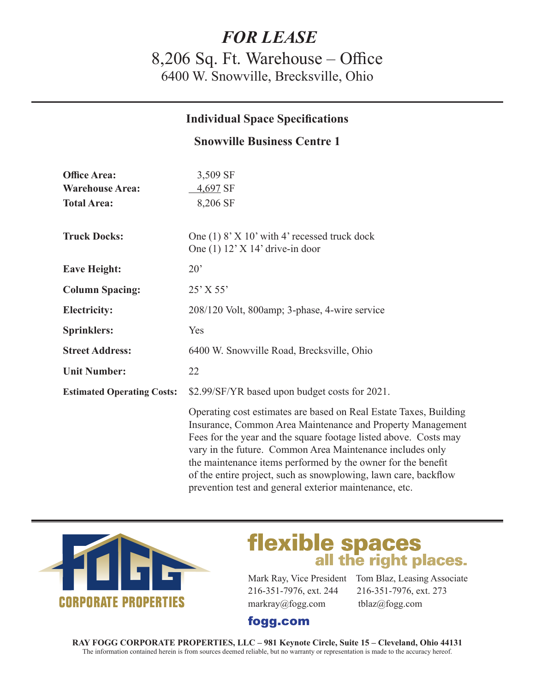# *FOR LEASE*

8,206 Sq. Ft. Warehouse – Office 6400 W. Snowville, Brecksville, Ohio

#### **Individual Space Specifications**

#### **Snowville Business Centre 1**

| <b>Office Area:</b>               | 3,509 SF                                                                                                                                                                                                                                                                                                                                                                                            |
|-----------------------------------|-----------------------------------------------------------------------------------------------------------------------------------------------------------------------------------------------------------------------------------------------------------------------------------------------------------------------------------------------------------------------------------------------------|
| <b>Warehouse Area:</b>            | 4,697 SF                                                                                                                                                                                                                                                                                                                                                                                            |
| <b>Total Area:</b>                | 8,206 SF                                                                                                                                                                                                                                                                                                                                                                                            |
|                                   |                                                                                                                                                                                                                                                                                                                                                                                                     |
| <b>Truck Docks:</b>               | One $(1)$ 8' X 10' with 4' recessed truck dock                                                                                                                                                                                                                                                                                                                                                      |
|                                   | One $(1)$ 12' X 14' drive-in door                                                                                                                                                                                                                                                                                                                                                                   |
| <b>Eave Height:</b>               | $20^{\circ}$                                                                                                                                                                                                                                                                                                                                                                                        |
| <b>Column Spacing:</b>            | $25'$ X 55'                                                                                                                                                                                                                                                                                                                                                                                         |
| <b>Electricity:</b>               | 208/120 Volt, 800amp; 3-phase, 4-wire service                                                                                                                                                                                                                                                                                                                                                       |
| <b>Sprinklers:</b>                | Yes                                                                                                                                                                                                                                                                                                                                                                                                 |
| <b>Street Address:</b>            | 6400 W. Snowville Road, Brecksville, Ohio                                                                                                                                                                                                                                                                                                                                                           |
| <b>Unit Number:</b>               | 22                                                                                                                                                                                                                                                                                                                                                                                                  |
| <b>Estimated Operating Costs:</b> | \$2.99/SF/YR based upon budget costs for 2021.                                                                                                                                                                                                                                                                                                                                                      |
|                                   | Operating cost estimates are based on Real Estate Taxes, Building<br>Insurance, Common Area Maintenance and Property Management<br>Fees for the year and the square footage listed above. Costs may<br>vary in the future. Common Area Maintenance includes only<br>the maintenance items performed by the owner for the benefit<br>of the entire project, such as snowplowing, lawn care, backflow |



# **flexible spaces**<br>all the right places.

216-351-7976, ext. 244 216-351-7976, ext. 273 markray@fogg.com tblaz@fogg.com

prevention test and general exterior maintenance, etc.

Mark Ray, Vice President Tom Blaz, Leasing Associate

### fogg.com

**RAY FOGG CORPORATE PROPERTIES, LLC – 981 Keynote Circle, Suite 15 – Cleveland, Ohio 44131** The information contained herein is from sources deemed reliable, but no warranty or representation is made to the accuracy hereof.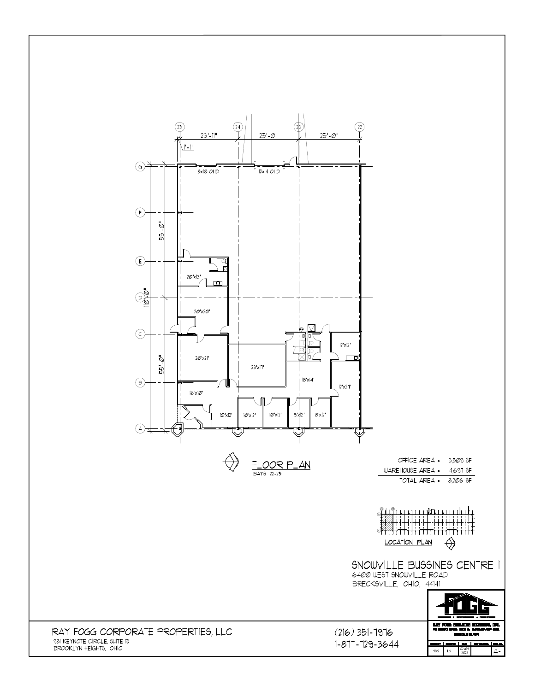